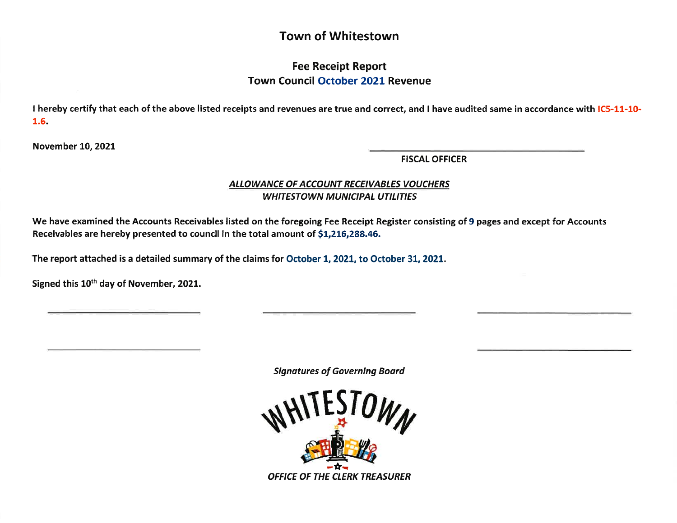# Town of Whitestown

## Fee Receipt Report Town Council October 2O2L Revenue

I hereby certify that each of the above listed receipts and revenues are true and correct, and I have audited same in accordance with IC5-11-10-1.6.

November LO,2O2l

FISCAL OFFICER

### ALLOWANCE OF ACCOUNT RECEIVABLES VOUCHERS WHITESTOWN MUNICIPAL UTILITIES

We have examined the Accounts Receivables listed on the foregoing Fee Receipt Register consisting of 9 pages and except for Accounts Receivables are hereby presented to council in the total amount of 51,216,288.46.

The report attached is a detailed summary of the claims for October 1, 2021, to October 31, 2021.

Signed this 10<sup>th</sup> day of November, 2021.

Signatures of Governing Board

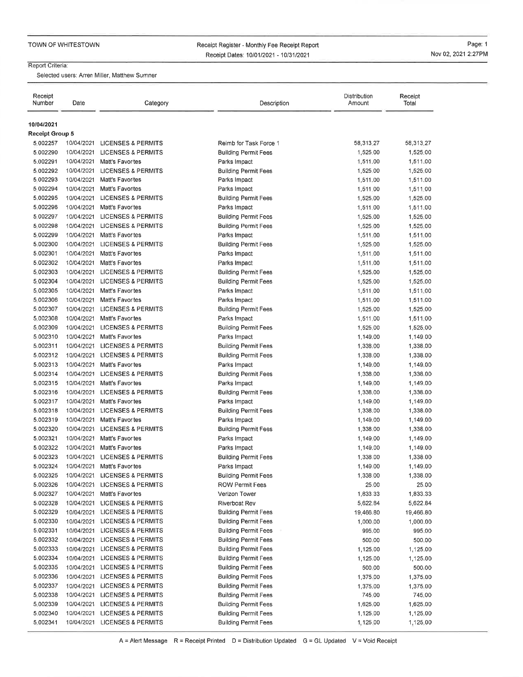Receipt Register - Monthly Fee Receipt ReportReceipt Dates: 1010112021 - 1013112021

Page: 1 Nov 02,2021 2.27PM

#### Report Criteria:

Selected users: Arren Miller, Matthew Sumner

| Receipt<br>Number                    | Date       | Category                      | Description                 | Distribution<br>Amount | Receipt<br>Total |
|--------------------------------------|------------|-------------------------------|-----------------------------|------------------------|------------------|
| 10/04/2021<br><b>Receipt Group 5</b> |            |                               |                             |                        |                  |
| 5.002257                             |            | 10/04/2021 LICENSES & PERMITS | Reimb for Task Force 1      | 58,313.27              | 58,313.27        |
| 5.002290                             |            | 10/04/2021 LICENSES & PERMITS | <b>Building Permit Fees</b> | 1,525.00               | 1,525.00         |
| 5.002291                             |            | 10/04/2021 Matt's Favorites   | Parks Impact                | 1,511.00               | 1,511.00         |
| 5.002292                             |            | 10/04/2021 LICENSES & PERMITS | <b>Building Permit Fees</b> | 1,525,00               | 1,525.00         |
| 5.002293                             | 10/04/2021 | Matt's Favorites              | Parks Impact                | 1,511.00               | 1,511.00         |
| 5.002294                             | 10/04/2021 | Matt's Favorites              | Parks Impact                | 1,511.00               | 1,511.00         |
| 5.002295                             | 10/04/2021 | <b>LICENSES &amp; PERMITS</b> | <b>Building Permit Fees</b> | 1,525.00               | 1,525.00         |
| 5.002296                             | 10/04/2021 | Matt's Favorites              | Parks Impact                | 1,511.00               | 1,511.00         |
| 5 002297                             | 10/04/2021 | LICENSES & PERMITS            | <b>Building Permit Fees</b> | 1,525.00               | 1,525.00         |
| 5.002298                             | 10/04/2021 | <b>LICENSES &amp; PERMITS</b> | <b>Building Permit Fees</b> | 1,525,00               | 1,525,00         |
| 5.002299                             | 10/04/2021 | Matt's Favorites              | Parks Impact                | 1,511.00               | 1,511,00         |
| 5,002300                             |            | 10/04/2021 LICENSES & PERMITS | <b>Building Permit Fees</b> | 1,525.00               | 1,525.00         |
| 5,002301                             | 10/04/2021 | <b>Matt's Favorites</b>       | Parks Impact                | 1,511.00               | 1,511.00         |
| 5.002302                             | 10/04/2021 | Matt's Favorites              | Parks Impact                | 1,511.00               | 1,511.00         |
| 5.002303                             | 10/04/2021 | <b>LICENSES &amp; PERMITS</b> | <b>Building Permit Fees</b> | 1,525.00               | 1,525.00         |
| 5.002304                             | 10/04/2021 | <b>LICENSES &amp; PERMITS</b> | <b>Building Permit Fees</b> | 1,525.00               | 1,525.00         |
| 5.002305                             |            | 10/04/2021 Matt's Favorites   | Parks Impact                | 1,511.00               | 1,511.00         |
| 5.002306                             | 10/04/2021 | <b>Matt's Favorites</b>       | Parks Impact                | 1,511.00               | 1,511.00         |
| 5.002307                             | 10/04/2021 | <b>LICENSES &amp; PERMITS</b> | <b>Building Permit Fees</b> | 1,525.00               | 1,525.00         |
| 5.002308                             | 10/04/2021 | Matt's Favorites              | Parks Impact                | 1,511.00               | 1,511.00         |
| 5.002309                             | 10/04/2021 | <b>LICENSES &amp; PERMITS</b> | <b>Building Permit Fees</b> | 1,525.00               | 1,525.00         |
| 5.002310                             |            | 10/04/2021 Matt's Favorites   | Parks Impact                | 1,149.00               | 1,149.00         |
| 5.002311                             | 10/04/2021 | <b>LICENSES &amp; PERMITS</b> | <b>Building Permit Fees</b> | 1,338.00               | 1,338.00         |
| 5.002312                             |            | 10/04/2021 LICENSES & PERMITS | <b>Building Permit Fees</b> | 1,338,00               | 1,338.00         |
| 5.002313                             | 10/04/2021 | <b>Matt's Favorites</b>       | Parks Impact                | 1,149.00               | 1,149.00         |
| 5 002314                             | 10/04/2021 | <b>LICENSES &amp; PERMITS</b> | <b>Building Permit Fees</b> | 1,338,00               | 1,338.00         |
| 5 002315                             | 10/04/2021 | Matt's Favorites              | Parks Impact                | 1,149,00               | 1,149.00         |
| 5.002316                             | 10/04/2021 | <b>LICENSES &amp; PERMITS</b> | <b>Building Permit Fees</b> | 1,338.00               | 1,338.00         |
| 5.002317                             | 10/04/2021 | Matt's Favorites              | Parks Impact                | 1,149,00               | 1,149.00         |
| 5 002318                             | 10/04/2021 | LICENSES & PERMITS            | <b>Building Permit Fees</b> | 1,338.00               | 1,338,00         |
| 5.002319                             | 10/04/2021 | Matt's Favorites              | Parks Impact                | 1,149.00               | 1,149.00         |
| 5.002320                             |            | 10/04/2021 LICENSES & PERMITS | <b>Building Permit Fees</b> | 1,338,00               | 1,338.00         |
| 5 002321                             | 10/04/2021 | Matt's Favorites              | Parks Impact                | 1,149.00               | 1,149.00         |
| 5.002322                             | 10/04/2021 | Matt's Favorites              | Parks Impact                | 1,149.00               | 1,149.00         |
| 5.002323                             | 10/04/2021 | <b>LICENSES &amp; PERMITS</b> | <b>Building Permit Fees</b> | 1,338,00               | 1,338.00         |
| 5.002324                             | 10/04/2021 | <b>Matt's Favorites</b>       | Parks Impact                | 1,149.00               | 1,149.00         |
| 5.002325                             | 10/04/2021 | <b>LICENSES &amp; PERMITS</b> | <b>Building Permit Fees</b> | 1,338,00               | 1,338.00         |
| 5.002326                             | 10/04/2021 | <b>LICENSES &amp; PERMITS</b> | ROW Permit Fees             | 25,00                  | 25.00            |
| 5.002327                             | 10/04/2021 | Matt's Favorites              | Verizon Tower               | 1,833.33               | 1,833.33         |
| 5.002328                             | 10/04/2021 | LICENSES & PERMITS            | <b>Riverboat Rev</b>        | 5,622.84               | 5,622.84         |
| 5.002329                             | 10/04/2021 | <b>LICENSES &amp; PERMITS</b> | <b>Building Permit Fees</b> | 19,466,80              | 19,466,80        |
| 5,002330                             | 10/04/2021 | <b>LICENSES &amp; PERMITS</b> | <b>Building Permit Fees</b> | 1,000,00               | 1,000.00         |
| 5,002331                             | 10/04/2021 | <b>LICENSES &amp; PERMITS</b> | <b>Building Permit Fees</b> | 995.00                 | 995.00           |
| 5.002332                             | 10/04/2021 | LICENSES & PERMITS            | <b>Building Permit Fees</b> | 500.00                 | 500.00           |
| 5.002333                             | 10/04/2021 | <b>LICENSES &amp; PERMITS</b> | <b>Building Permit Fees</b> | 1,125.00               | 1,125.00         |
| 5.002334                             | 10/04/2021 | <b>LICENSES &amp; PERMITS</b> | <b>Building Permit Fees</b> | 1,125,00               | 1,125,00         |
| 5.002335                             | 10/04/2021 | LICENSES & PERMITS            | <b>Building Permit Fees</b> | 500,00                 | 500.00           |
| 5.002336                             | 10/04/2021 | LICENSES & PERMITS            | <b>Building Permit Fees</b> | 1,375,00               | 1,375,00         |
| 5.002337                             | 10/04/2021 | LICENSES & PERMITS            | <b>Building Permit Fees</b> | 1,375.00               | 1,375.00         |
| 5.002338                             | 10/04/2021 | <b>LICENSES &amp; PERMITS</b> | <b>Building Permit Fees</b> | 745.00                 | 745.00           |
| 5.002339                             | 10/04/2021 | <b>LICENSES &amp; PERMITS</b> | <b>Building Permit Fees</b> | 1,625.00               | 1,625.00         |
| 5.002340                             | 10/04/2021 | <b>LICENSES &amp; PERMITS</b> | <b>Building Permit Fees</b> | 1,125,00               | 1,125,00         |
| 5.002341                             | 10/04/2021 | LICENSES & PERMITS            | <b>Building Permit Fees</b> | 1,125,00               | 1,125,00         |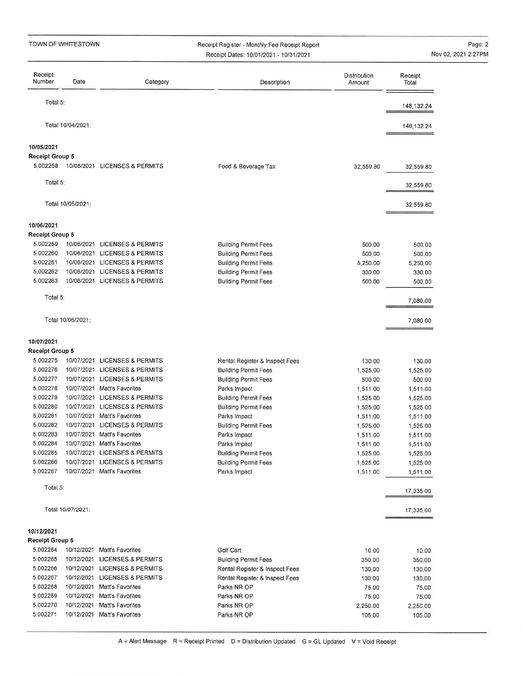Receipt Register - Monthly Fee Receipt ReportReceipt Dates: 1010112021 - 1013112021

Page: 2 Nov 02,2021 2:27PM

| Receipt<br>Number      | Date              | Category                      | Description                                 | Distribution<br>Amount | Receipt<br>Total     |
|------------------------|-------------------|-------------------------------|---------------------------------------------|------------------------|----------------------|
| Total 5:               |                   |                               |                                             |                        | 148, 132, 24         |
|                        | Total 10/04/2021: |                               |                                             |                        | 148,132.24           |
| 10/05/2021             |                   |                               |                                             |                        |                      |
| <b>Receipt Group 5</b> |                   |                               |                                             |                        |                      |
| 5.002258               |                   | 10/05/2021 LICENSES & PERMITS | Food & Beverage Tax                         | 32,559.80              | 32,559.80            |
| Total 5:               |                   |                               |                                             |                        | 32,559.80            |
|                        | Total 10/05/2021: |                               |                                             |                        | 32,559.80            |
| 10/06/2021             |                   |                               |                                             |                        |                      |
| Receipt Group 5        |                   |                               |                                             |                        |                      |
| 5.002259               | 10/06/2021        | <b>LICENSES &amp; PERMITS</b> | <b>Building Permit Fees</b>                 | 500.00                 | 500.00               |
| 5.002260               | 10/06/2021        | <b>LICENSES &amp; PERMITS</b> | <b>Building Permit Fees</b>                 | 500.00                 | 500,00               |
| 5.002261               |                   | 10/06/2021 LICENSES & PERMITS | <b>Building Permit Fees</b>                 | 5,250.00               | 5,250.00             |
| 5.002262               |                   | 10/06/2021 LICENSES & PERMITS | <b>Building Permit Fees</b>                 | 330,00                 | 330.00               |
| 5.002263               |                   | 10/06/2021 LICENSES & PERMITS | <b>Building Permit Fees</b>                 | 500,00                 | 500,00               |
| Total 5:               |                   |                               |                                             |                        | 7,080.00             |
|                        | Total 10/06/2021  |                               |                                             |                        | 7,080.00             |
| 10/07/2021             |                   |                               |                                             |                        |                      |
| Receipt Group 5        |                   |                               |                                             |                        |                      |
| 5.002275               |                   | 10/07/2021 LICENSES & PERMITS | Rental Register & Inspect Fees              | 130.00                 | 130.00               |
| 5.002276               | 10/07/2021        | <b>LICENSES &amp; PERMITS</b> | <b>Building Permit Fees</b>                 | 1,525.00               | 1,525,00             |
| 5.002277               | 10/07/2021        | <b>LICENSES &amp; PERMITS</b> | <b>Building Permit Fees</b>                 | 500,00                 | 500,00               |
| 5,002278               | 10/07/2021        | Matt's Favorites              | Parks Impact                                | 1,511.00               | 1,511.00             |
| 5.002279               | 10/07/2021        | <b>LICENSES &amp; PERMITS</b> | <b>Building Permit Fees</b>                 | 1,525.00               | 1,525.00             |
| 5,002280               | 10/07/2021        | <b>LICENSES &amp; PERMITS</b> | <b>Building Permit Fees</b>                 | 1,525.00               | 1,525.00             |
| 5,002281               | 10/07/2021        | <b>Matt's Favorites</b>       | Parks Impact                                | 1,511,00               | 1,511.00             |
| 5.002282               | 10/07/2021        | <b>LICENSES &amp; PERMITS</b> | <b>Building Permit Fees</b>                 | 1,525.00               | 1,525.00             |
| 5.002283               | 10/07/2021        | Matt's Favorites              | Parks Impact                                | 1,511.00               | 1,511.00             |
| 5.002284               |                   | 10/07/2021 Matt's Favorites   | Parks Impact                                | 1,511,00               | 1,511.00             |
| 5,002285               |                   | 10/07/2021 LICENSES & PERMITS | <b>Building Permit Fees</b>                 | 1,525.00               | 1,525.00             |
| 5.002286               |                   | 10/07/2021 LICENSES & PERMITS |                                             |                        |                      |
| 5.002287               |                   | 10/07/2021 Matt's Favorites   | <b>Building Permit Fees</b><br>Parks Impact | 1,525.00<br>1,511.00   | 1,525.00<br>1,511.00 |
| Total 5:               |                   |                               |                                             |                        | 17,335.00            |
|                        | Total 10/07/2021: |                               |                                             |                        | 17,335.00            |
|                        |                   |                               |                                             |                        |                      |
| 10/12/2021             |                   |                               |                                             |                        |                      |
| Receipt Group 5        |                   |                               |                                             |                        |                      |
| 5.002264               |                   | 10/12/2021 Matt's Favorites   | Golf Cart                                   | 10.00                  | 10,00                |
| 5.002265               |                   | 10/12/2021 LICENSES & PERMITS | <b>Building Permit Fees</b>                 | 350,00                 | 350.00               |
| 5.002266               |                   | 10/12/2021 LICENSES & PERMITS | Rental Register & Inspect Fees              | 130,00                 | 130,00               |
| 5,002267               |                   | 10/12/2021 LICENSES & PERMITS | Rental Register & Inspect Fees              | 130.00                 | 130.00               |
| 5.002268               |                   | 10/12/2021 Matt's Favorites   | Parks NR OP                                 | 75.00                  | 75.00                |
| 5.002269               |                   | 10/12/2021 Matt's Favorites   | Parks NR OP                                 | 75.00                  | 75.00                |
| 5.002270               |                   | 10/12/2021 Matt's Favorites   | Parks NR OP                                 | 2,250.00               | 2,250.00             |
| 5,002271               |                   | 10/12/2021 Matt's Favorites   | Parks NR OP                                 | 105,00                 | 105.00               |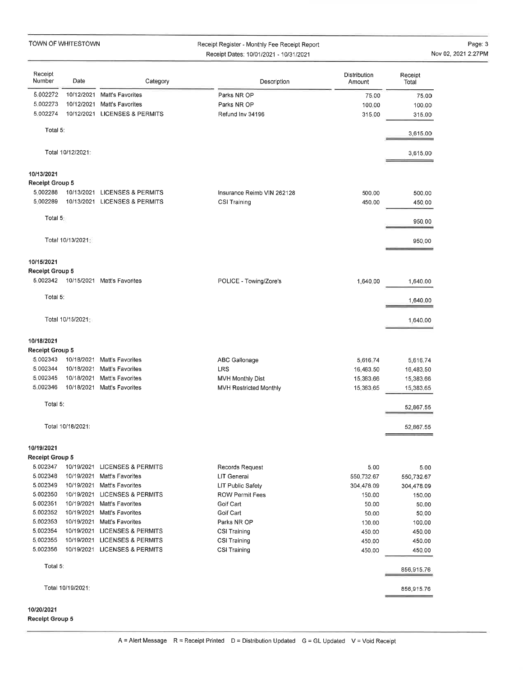#### Receipt Register - Monthly Fee Receipt Report Receipt Dates: 1010112021 - 1013112021

Page: 3Nov 02,2021 2:27PM

| Receipt<br>Number                  | Date              | Category                                                       | Description                                | <b>Distribution</b><br>Amount | Receipt<br>Total      |
|------------------------------------|-------------------|----------------------------------------------------------------|--------------------------------------------|-------------------------------|-----------------------|
| 5.002272                           |                   | 10/12/2021 Matt's Favorites                                    | Parks NR OP                                | 75.00                         | 75,00                 |
| 5.002273                           |                   | 10/12/2021 Matt's Favorites                                    | Parks NR OP                                | 100,00                        | 100,00                |
| 5.002274                           |                   | 10/12/2021 LICENSES & PERMITS                                  | Refund Inv 34196                           | 315,00                        | 315.00                |
| Total 5:                           |                   |                                                                |                                            |                               | 3,615.00              |
|                                    | Total 10/12/2021: |                                                                |                                            |                               | 3,615.00              |
| 10/13/2021                         |                   |                                                                |                                            |                               |                       |
| Receipt Group 5                    |                   |                                                                |                                            |                               |                       |
| 5.002288<br>5.002289               |                   | 10/13/2021 LICENSES & PERMITS<br>10/13/2021 LICENSES & PERMITS | Insurance Reimb VIN 262128<br>CSI Training | 500.00<br>450.00              | 500.00<br>450,00      |
| Total 5:                           |                   |                                                                |                                            |                               |                       |
|                                    |                   |                                                                |                                            |                               | 950.00                |
|                                    | Total 10/13/2021; |                                                                |                                            |                               | 950,00                |
| 10/15/2021                         |                   |                                                                |                                            |                               |                       |
| Receipt Group 5                    |                   |                                                                |                                            |                               |                       |
| 5.002342                           |                   | 10/15/2021 Matt's Favorites                                    | POLICE - Towing/Zore's                     | 1,640.00                      | 1,640.00              |
| Total 5:                           |                   |                                                                |                                            |                               | 1,640.00              |
|                                    | Total 10/15/2021: |                                                                |                                            |                               | 1,640.00              |
| 10/18/2021                         |                   |                                                                |                                            |                               |                       |
| <b>Receipt Group 5</b><br>5.002343 | 10/18/2021        | Matt's Favorites                                               |                                            |                               |                       |
| 5.002344                           | 10/18/2021        | Matt's Favorites                                               | ABC Gallonage<br>LRS                       | 5,616.74<br>16,483.50         | 5,616.74<br>16,483.50 |
| 5,002345                           |                   | 10/18/2021 Matt's Favorites                                    | <b>MVH Monthly Dist</b>                    | 15,383.66                     | 15,383.66             |
| 5.002346                           |                   | 10/18/2021 Matt's Favorites                                    | MVH Restricted Monthly                     | 15,383,65                     | 15,383.65             |
| Total 5:                           |                   |                                                                |                                            |                               | 52,867.55             |
|                                    | Total 10/18/2021: |                                                                |                                            |                               | 52,867.55             |
| 10/19/2021                         |                   |                                                                |                                            |                               |                       |
| Receipt Group 5                    |                   |                                                                |                                            |                               |                       |
| 5.002347                           |                   | 10/19/2021 LICENSES & PERMITS                                  | <b>Records Request</b>                     | 5,00                          | 5.00                  |
| 5.002348                           | 10/19/2021        | Matt's Favorites                                               | LIT General                                | 550,732.67                    | 550,732.67            |
| 5.002349                           | 10/19/2021        | <b>Matt's Favorites</b>                                        | LIT Public Safety                          | 304,478.09                    | 304,478.09            |
| 5.002350                           |                   | 10/19/2021 LICENSES & PERMITS                                  | <b>ROW Permit Fees</b>                     | 150.00                        | 150.00                |
| 5.002351                           |                   | 10/19/2021 Matt's Favorites                                    | Golf Cart                                  | 50.00                         | 50.00                 |
| 5.002352                           | 10/19/2021        | Matt's Favorites                                               | Golf Cart                                  | 50.00                         | 50.00                 |
| 5.002353                           | 10/19/2021        | Matt's Favorites                                               | Parks NR OP                                | 100,00                        | 100.00                |
| 5.002354<br>5.002355               |                   | 10/19/2021 LICENSES & PERMITS                                  | <b>CSI Training</b>                        | 450.00                        | 450.00                |
| 5,002356                           |                   | 10/19/2021 LICENSES & PERMITS<br>10/19/2021 LICENSES & PERMITS | CSI Training<br><b>CSI Training</b>        | 450,00<br>450,00              | 450.00<br>450.00      |
| Total 5:                           |                   |                                                                |                                            |                               | 856,915.76            |
|                                    | Total 10/19/2021: |                                                                |                                            |                               | 856,915.76            |
|                                    |                   |                                                                |                                            |                               |                       |

#### 10/20/2021 Receipt Group 5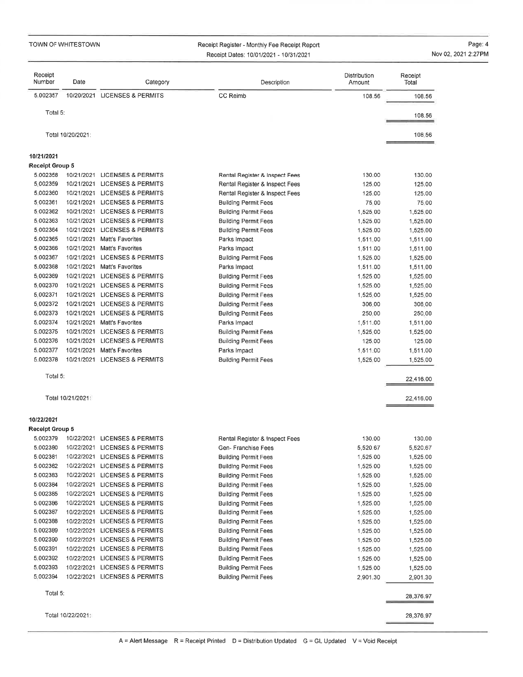### Receipt Register - Monthly Fee Receipt ReportReceipt Dates: <sup>1010112021</sup>- <sup>1013112021</sup>

Page:4Nov 02, 2021 2:27PM

| Receipt<br>Number      | Date              | Category                                                       | Description                                                | Distribution<br>Amount | Receipt<br>Total     |
|------------------------|-------------------|----------------------------------------------------------------|------------------------------------------------------------|------------------------|----------------------|
| 5.002357               |                   | 10/20/2021 LICENSES & PERMITS                                  | <b>CC Reimb</b>                                            | 108.56                 | 108.56               |
| Total 5:               |                   |                                                                |                                                            |                        |                      |
|                        |                   |                                                                |                                                            |                        | 108.56               |
|                        | Total 10/20/2021: |                                                                |                                                            |                        | 108.56               |
| 10/21/2021             |                   |                                                                |                                                            |                        |                      |
| <b>Receipt Group 5</b> |                   |                                                                |                                                            |                        |                      |
| 5.002358               |                   | 10/21/2021 LICENSES & PERMITS                                  | Rental Register & Inspect Fees                             | 130.00                 | 130,00               |
| 5.002359               |                   | 10/21/2021 LICENSES & PERMITS                                  | Rental Register & Inspect Fees                             | 125.00                 | 125.00               |
| 5,002360               |                   | 10/21/2021 LICENSES & PERMITS                                  | Rental Register & Inspect Fees                             | 125.00                 | 125.00               |
| 5.002361               |                   | 10/21/2021 LICENSES & PERMITS                                  | <b>Building Permit Fees</b>                                | 75.00                  | 75.00                |
| 5 002362               |                   | 10/21/2021 LICENSES & PERMITS                                  | <b>Building Permit Fees</b>                                | 1,525.00               | 1,525.00             |
| 5 002363               |                   | 10/21/2021 LICENSES & PERMITS                                  | <b>Building Permit Fees</b>                                | 1,525.00               | 1,525.00             |
| 5 002364               |                   | 10/21/2021 LICENSES & PERMITS                                  | <b>Building Permit Fees</b>                                | 1,525.00               | 1,525.00             |
| 5.002365               | 10/21/2021        | Matt's Favorites                                               | Parks Impact                                               | 1,511,00               | 1,511.00             |
| 5,002366               | 10/21/2021        | Matt's Favorites                                               | Parks Impact                                               | 1,511.00               | 1,511.00             |
| 5.002367               |                   | 10/21/2021 LICENSES & PERMITS                                  | <b>Building Permit Fees</b>                                | 1,525.00               | 1,525.00             |
| 5.002368               | 10/21/2021        | Matt's Favorites                                               | Parks Impact                                               | 1,511.00               | 1,511.00             |
| 5,002369               |                   | 10/21/2021 LICENSES & PERMITS                                  | <b>Building Permit Fees</b>                                | 1,525.00               | 1,525.00             |
| 5.002370               |                   | 10/21/2021 LICENSES & PERMITS                                  | <b>Building Permit Fees</b>                                | 1,525.00               | 1,525.00             |
| 5.002371               | 10/21/2021        | <b>LICENSES &amp; PERMITS</b>                                  | <b>Building Permit Fees</b>                                | 1,525,00               | 1,525.00             |
| 5.002372               |                   | 10/21/2021 LICENSES & PERMITS                                  | <b>Building Permit Fees</b>                                | 306.00                 | 306,00               |
| 5.002373               |                   | 10/21/2021 LICENSES & PERMITS                                  | <b>Building Permit Fees</b>                                | 250.00                 | 250,00               |
| 5.002374<br>5.002375   |                   | 10/21/2021 Matt's Favorites                                    | Parks Impact                                               | 1,511.00               | 1,511.00             |
| 5.002376               | 10/21/2021        | <b>LICENSES &amp; PERMITS</b><br>10/21/2021 LICENSES & PERMITS | <b>Building Permit Fees</b>                                | 1,525,00               | 1,525.00             |
| 5.002377               | 10/21/2021        | Matt's Favorites                                               | <b>Building Permit Fees</b>                                | 125.00<br>1,511.00     | 125,00               |
| 5.002378               |                   | 10/21/2021 LICENSES & PERMITS                                  | Parks Impact<br><b>Building Permit Fees</b>                | 1,525,00               | 1,511.00<br>1,525.00 |
| Total 5:               |                   |                                                                |                                                            |                        |                      |
|                        |                   |                                                                |                                                            |                        | 22,416.00            |
|                        | Total 10/21/2021: |                                                                |                                                            |                        | 22,416.00            |
| 10/22/2021             |                   |                                                                |                                                            |                        |                      |
| <b>Receipt Group 5</b> |                   |                                                                |                                                            |                        |                      |
| 5.002379<br>5,002380   |                   | 10/22/2021 LICENSES & PERMITS<br>10/22/2021 LICENSES & PERMITS | Rental Register & Inspect Fees                             | 130.00                 | 130,00<br>5,520.67   |
| 5,002381               | 10/22/2021        | <b>LICENSES &amp; PERMITS</b>                                  | Gen-Franchise Fees                                         | 5,520.67               |                      |
| 5.002382               | 10/22/2021        | LICENSES & PERMITS                                             | <b>Building Permit Fees</b><br><b>Building Permit Fees</b> | 1,525.00<br>1,525.00   | 1,525.00<br>1,525.00 |
| 5.002383               | 10/22/2021        | LICENSES & PERMITS                                             | <b>Building Permit Fees</b>                                | 1,525.00               | 1,525.00             |
| 5.002384               | 10/22/2021        | LICENSES & PERMITS                                             | <b>Building Permit Fees</b>                                | 1,525.00               | 1,525.00             |
| 5.002385               | 10/22/2021        | <b>LICENSES &amp; PERMITS</b>                                  | <b>Building Permit Fees</b>                                | 1,525.00               | 1,525.00             |
| 5.002386               | 10/22/2021        | <b>LICENSES &amp; PERMITS</b>                                  | <b>Building Permit Fees</b>                                | 1,525.00               | 1,525.00             |
| 5.002387               | 10/22/2021        | <b>LICENSES &amp; PERMITS</b>                                  | <b>Building Permit Fees</b>                                | 1,525.00               | 1,525.00             |
| 5.002388               | 10/22/2021        | <b>LICENSES &amp; PERMITS</b>                                  | <b>Building Permit Fees</b>                                | 1,525.00               | 1,525.00             |
| 5.002389               | 10/22/2021        | LICENSES & PERMITS                                             | <b>Building Permit Fees</b>                                | 1,525.00               | 1,525.00             |
| 5.002390               | 10/22/2021        | <b>LICENSES &amp; PERMITS</b>                                  | <b>Building Permit Fees</b>                                | 1,525.00               | 1,525.00             |
| 5.002391               | 10/22/2021        | LICENSES & PERMITS                                             | <b>Building Permit Fees</b>                                | 1,525.00               | 1,525.00             |
| 5.002392               | 10/22/2021        | <b>LICENSES &amp; PERMITS</b>                                  | <b>Building Permit Fees</b>                                | 1,525.00               | 1,525.00             |
| 5,002393               | 10/22/2021        | <b>LICENSES &amp; PERMITS</b>                                  | <b>Building Permit Fees</b>                                | 1,525.00               | 1,525.00             |
| 5.002394               |                   | 10/22/2021 LICENSES & PERMITS                                  | <b>Building Permit Fees</b>                                | 2,901.30               | 2,901.30             |
| Total 5:               |                   |                                                                |                                                            |                        | 28,376.97            |
|                        |                   |                                                                |                                                            |                        |                      |
|                        | Total 10/22/2021: |                                                                |                                                            |                        | 28,376.97            |

 $\equiv$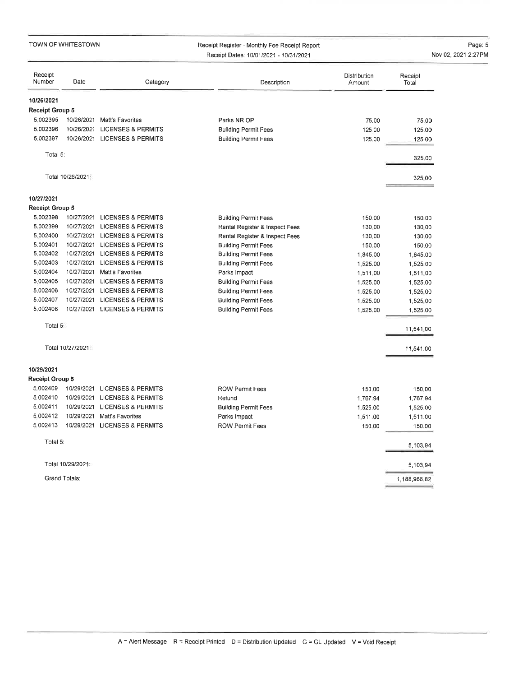|                        | TOWN OF WHITESTOWN |                               | Receipt Register - Monthly Fee Receipt Report<br>Receipt Dates: 10/01/2021 - 10/31/2021 |                        |                  | Page: 8<br>Nov 02, 2021 2:27PN |
|------------------------|--------------------|-------------------------------|-----------------------------------------------------------------------------------------|------------------------|------------------|--------------------------------|
|                        |                    |                               |                                                                                         |                        |                  |                                |
| Receipt<br>Number      | Date               | Category                      | Description                                                                             | Distribution<br>Amount | Receipt<br>Total |                                |
| 10/26/2021             |                    |                               |                                                                                         |                        |                  |                                |
| <b>Receipt Group 5</b> |                    |                               |                                                                                         |                        |                  |                                |
| 5.002395               |                    | 10/26/2021 Matt's Favorites   | Parks NR OP                                                                             | 75.00                  | 75,00            |                                |
| 5.002396               |                    | 10/26/2021 LICENSES & PERMITS | <b>Building Permit Fees</b>                                                             | 125.00                 | 125.00           |                                |
| 5.002397               |                    | 10/26/2021 LICENSES & PERMITS | <b>Building Permit Fees</b>                                                             | 125.00                 | 125.00           |                                |
| Total 5:               |                    |                               |                                                                                         |                        | 325.00           |                                |
|                        | Total 10/26/2021   |                               |                                                                                         |                        | 325.00           |                                |
| 10/27/2021             |                    |                               |                                                                                         |                        |                  |                                |
| <b>Receipt Group 5</b> |                    |                               |                                                                                         |                        |                  |                                |
| 5.002398               |                    | 10/27/2021 LICENSES & PERMITS | <b>Building Permit Fees</b>                                                             | 150.00                 | 150.00           |                                |
| 5.002399               |                    | 10/27/2021 LICENSES & PERMITS | Rental Register & Inspect Fees                                                          | 130.00                 | 130.00           |                                |
| 5.002400               |                    | 10/27/2021 LICENSES & PERMITS | Rental Register & Inspect Fees                                                          | 130.00                 | 130.00           |                                |
| 5.002401               |                    | 10/27/2021 LICENSES & PERMITS | <b>Building Permit Fees</b>                                                             | 150.00                 | 150.00           |                                |
| 5.002402               |                    | 10/27/2021 LICENSES & PERMITS | <b>Building Permit Fees</b>                                                             | 1,845.00               | 1,845.00         |                                |
| 5,002403               |                    | 10/27/2021 LICENSES & PERMITS | <b>Building Permit Fees</b>                                                             | 1,525.00               | 1,525.00         |                                |
| 5,002404               |                    | 10/27/2021 Matt's Favorites   | Parks Impact                                                                            | 1,511,00               | 1,511.00         |                                |
| 5,002405               |                    | 10/27/2021 LICENSES & PERMITS | <b>Building Permit Fees</b>                                                             | 1,525,00               | 1,525.00         |                                |
| 5.002406               |                    | 10/27/2021 LICENSES & PERMITS | <b>Building Permit Fees</b>                                                             | 1,525,00               | 1,525.00         |                                |
| 5.002407               |                    | 10/27/2021 LICENSES & PERMITS | <b>Building Permit Fees</b>                                                             | 1,525.00               | 1,525,00         |                                |
| 5.002408               |                    | 10/27/2021 LICENSES & PERMITS | <b>Building Permit Fees</b>                                                             | 1,525.00               | 1,525.00         |                                |
| Total 5:               |                    |                               |                                                                                         |                        | 11,541.00        |                                |
|                        | Total 10/27/2021:  |                               |                                                                                         |                        | 11,541.00        |                                |
| 10/29/2021             |                    |                               |                                                                                         |                        |                  |                                |
| <b>Receipt Group 5</b> |                    |                               |                                                                                         |                        |                  |                                |
| 5.002409               |                    | 10/29/2021 LICENSES & PERMITS | <b>ROW Permit Fees</b>                                                                  | 150,00                 | 150.00           |                                |
| 5.002410               |                    | 10/29/2021 LICENSES & PERMITS | Refund                                                                                  | 1,767.94               | 1,767.94         |                                |
| 5.002411               |                    | 10/29/2021 LICENSES & PERMITS | <b>Building Permit Fees</b>                                                             | 1,525,00               | 1,525.00         |                                |
| 5.002412               |                    | 10/29/2021 Matt's Favorites   | Parks Impact                                                                            | 1,511,00               | 1,511.00         |                                |
| 5.002413               |                    | 10/29/2021 LICENSES & PERMITS | <b>ROW Permit Fees</b>                                                                  | 150.00                 | 150,00           |                                |
| Total 5:               |                    |                               |                                                                                         |                        | 5,103.94         |                                |
|                        | Total 10/29/2021:  |                               |                                                                                         |                        | 5,103.94         |                                |
|                        | Grand Totals:      |                               |                                                                                         |                        | 1,188,966.82     |                                |

Page: 5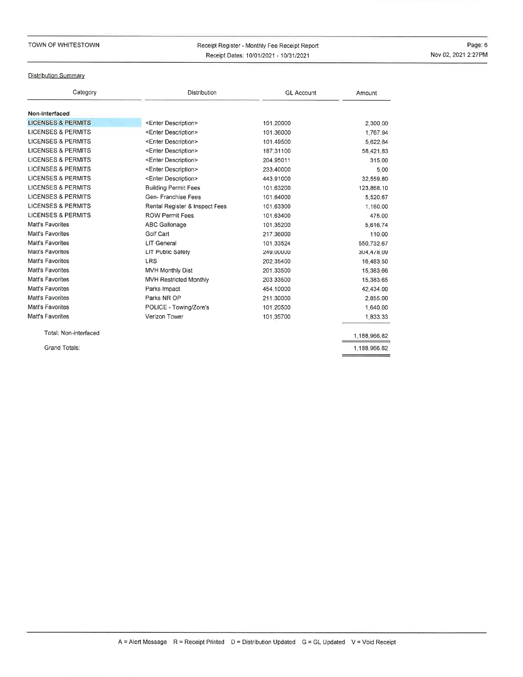### Receipt Register - Monthly Fee Receipt ReportReceipt Dates: 1010112021 - 1013112021

Page: 6Nov 02,2021 2:27PM

### Distribution Summary

| Category                      | Distribution                   | <b>GL Account</b> | Amount       |
|-------------------------------|--------------------------------|-------------------|--------------|
| Non-interfaced                |                                |                   |              |
| <b>LICENSES &amp; PERMITS</b> | <enter description=""></enter> | 101.20000         | 2,300.00     |
| LICENSES & PERMITS            | <enter description=""></enter> | 101.36000         | 1,767.94     |
| <b>LICENSES &amp; PERMITS</b> | <enter description=""></enter> | 101,49500         | 5,622,84     |
| <b>LICENSES &amp; PERMITS</b> | <enter description=""></enter> | 187.31100         | 58,421,83    |
| <b>LICENSES &amp; PERMITS</b> | <enter description=""></enter> | 204.95011         | 315.00       |
| <b>LICENSES &amp; PERMITS</b> | <enter description=""></enter> | 233,40000         | 5.00         |
| <b>LICENSES &amp; PERMITS</b> | <enter description=""></enter> | 443.91000         | 32,559.80    |
| <b>LICENSES &amp; PERMITS</b> | <b>Building Permit Fees</b>    | 101.63200         | 123,868.10   |
| <b>LICENSES &amp; PERMITS</b> | Gen- Franchise Fees            | 101.64000         | 5,520.67     |
| <b>LICENSES &amp; PERMITS</b> | Rental Register & Inspect Fees | 101.63300         | 1,160.00     |
| <b>LICENSES &amp; PERMITS</b> | <b>ROW Permit Fees</b>         | 101.63400         | 475.00       |
| Matt's Favorites              | ABC Gallonage                  | 101.35200         | 5,616.74     |
| Matt's Favorites              | Golf Cart                      | 217.36000         | 110.00       |
| Matt's Favorites              | <b>LIT General</b>             | 101.33524         | 550,732.67   |
| Matt's Favorites              | <b>LIT Public Safety</b>       | 249,00000         | 304,478.09   |
| Matt's Favorites              | LRS                            | 202.35400         | 16,483.50    |
| Matt's Favorites              | MVH Monthly Dist               | 201.33500         | 15,383.66    |
| Matt's Favorites              | <b>MVH Restricted Monthly</b>  | 203.33500         | 15,383.65    |
| Matt's Favorites              | Parks Impact                   | 454,10000         | 42,434.00    |
| Matt's Favorites              | Parks NR OP                    | 211,30000         | 2,855,00     |
| Matt's Favorites              | POLICE - Towing/Zore's         | 101.20500         | 1,640.00     |
| Matt's Favorites              | Verizon Tower                  | 101.35700         | 1,833.33     |
| Total: Non-interfaced         |                                |                   | 1,188,966.82 |
| Grand Totals:                 |                                |                   | 1,188,966.82 |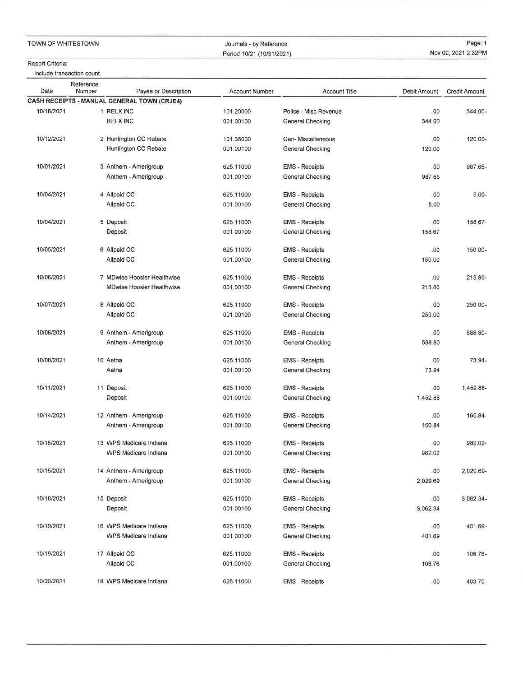Journals - by ReferencePeriod 10/21 (10/31/2021)

Page: 1Nov 02,2021 2:32PM

#### Report Criteria:

lnclude transaction count

| Date       | Reference<br>Number | Payee or Description                        | <b>Account Number</b> | <b>Account Title</b>    | Debit Amount | <b>Credit Amount</b> |
|------------|---------------------|---------------------------------------------|-----------------------|-------------------------|--------------|----------------------|
|            |                     | CASH RECEIPTS - MANUAL GENERAL TOWN (CRJE4) |                       |                         |              |                      |
| 10/18/2021 |                     | 1 RELX INC                                  | 101.20000             | Police - Misc Revenue   | .00          | 344,00-              |
|            |                     | <b>RELX INC</b>                             | 001,00100             | General Checking        | 344.00       |                      |
|            |                     |                                             |                       |                         |              |                      |
| 10/12/2021 |                     | 2 Huntington CC Rebate                      | 101.36000             | Gen-Miscellaneous       | .00          | 120.00-              |
|            |                     | Huntington CC Rebate                        | 001,00100             | General Checking        | 120.00       |                      |
|            |                     |                                             |                       |                         |              |                      |
| 10/01/2021 |                     | 3 Anthem - Amerigroup                       | 625.11000             | <b>EMS</b> - Receipts   | .00          | 987.65-              |
|            |                     | Anthem - Amerigroup                         | 001.00100             | General Checking        | 987.65       |                      |
|            |                     |                                             |                       |                         |              |                      |
| 10/04/2021 |                     | 4 Allpaid CC                                | 625,11000             | <b>EMS</b> - Receipts   | 00           | $5.00 -$             |
|            |                     | Allpaid CC                                  | 001:00100             | General Checking        | 5.00         |                      |
| 10/04/2021 |                     | 5 Deposit                                   | 625.11000             | <b>EMS</b> - Receipts   | ,00          | 158.67-              |
|            |                     | Deposit                                     | 001.00100             | General Checking        | 158.67       |                      |
|            |                     |                                             |                       |                         |              |                      |
| 10/05/2021 |                     | 6 Allpaid CC                                | 625.11000             | <b>EMS</b> - Receipts   | .00          | 150.00-              |
|            |                     | Allpaid CC                                  | 001.00100             | General Checking        | 150,00       |                      |
|            |                     |                                             |                       |                         |              |                      |
| 10/06/2021 |                     | 7 MDwise Hoosier Healthwise                 | 625,11000             | <b>EMS</b> - Receipts   | .00          | 213.80-              |
|            |                     | <b>MDwise Hoosier Healthwise</b>            | 001,00100             | General Checking        | 213.80       |                      |
|            |                     |                                             |                       |                         |              |                      |
| 10/07/2021 |                     | 8 Allpaid CC                                | 625.11000             | <b>EMS</b> - Receipts   | .00          | 250.00-              |
|            |                     | Allpaid CC                                  | 001.00100             | <b>General Checking</b> | 250.00       |                      |
|            |                     |                                             |                       |                         |              |                      |
| 10/08/2021 |                     | 9 Anthem - Amerigroup                       | 625,11000             | <b>EMS - Receipts</b>   | .00          | 588.80-              |
|            |                     | Anthem - Amerigroup                         | 001,00100             | General Checking        | 588.80       |                      |
| 10/08/2021 |                     | 10 Aetna                                    | 625,11000             | <b>EMS</b> - Receipts   | .00          | 73.94-               |
|            |                     | Aetna                                       | 001,00100             | General Checking        | 73.94        |                      |
|            |                     |                                             |                       |                         |              |                      |
| 10/11/2021 |                     | 11 Deposit                                  | 625.11000             | <b>EMS</b> - Receipts   | .00          | 1,452,88-            |
|            |                     | Deposit                                     | 001,00100             | General Checking        | 1,452.88     |                      |
|            |                     |                                             |                       |                         |              |                      |
| 10/14/2021 |                     | 12 Anthem - Amerigroup                      | 625.11000             | <b>EMS</b> - Receipts   | .00          | 160.84-              |
|            |                     | Anthem - Amerigroup                         | 001,00100             | General Checking        | 160.84       |                      |
|            |                     |                                             |                       |                         |              |                      |
| 10/15/2021 |                     | 13 WPS Medicare Indiana                     | 625.11000             | <b>EMS</b> - Receipts   | .00          | 982.02-              |
|            |                     | WPS Medicare Indiana                        | 001,00100             | General Checking        | 982.02       |                      |
| 10/15/2021 |                     | 14 Anthem - Amerigroup                      | 625.11000             | <b>EMS</b> - Receipts   | .00          | 2,029.69-            |
|            |                     | Anthem - Amerigroup                         | 001.00100             | General Checking        | 2,029.69     |                      |
|            |                     |                                             |                       |                         |              |                      |
| 10/18/2021 |                     | 15 Deposit                                  | 625.11000             | <b>EMS</b> - Receipts   | .00          | 3,062.34-            |
|            |                     | Deposit                                     | 001.00100             | General Checking        | 3,062,34     |                      |
|            |                     |                                             |                       |                         |              |                      |
| 10/19/2021 |                     | 16 WPS Medicare Indiana                     | 625.11000             | <b>EMS</b> - Receipts   | .00          | 401,69-              |
|            |                     | WPS Medicare Indiana                        | 001.00100             | General Checking        | 401.69       |                      |
|            |                     |                                             |                       |                         |              |                      |
| 10/19/2021 |                     | 17 Allpaid CC                               | 625.11000             | <b>EMS</b> - Receipts   | .00          | 106,76-              |
|            |                     | Allpaid CC                                  | 001,00100             | General Checking        | 106.76       |                      |
|            |                     |                                             |                       |                         |              |                      |
| 10/20/2021 |                     | 18 WPS Medicare Indiana                     | 625,11000             | <b>EMS</b> - Receipts   | .00          | 403,70-              |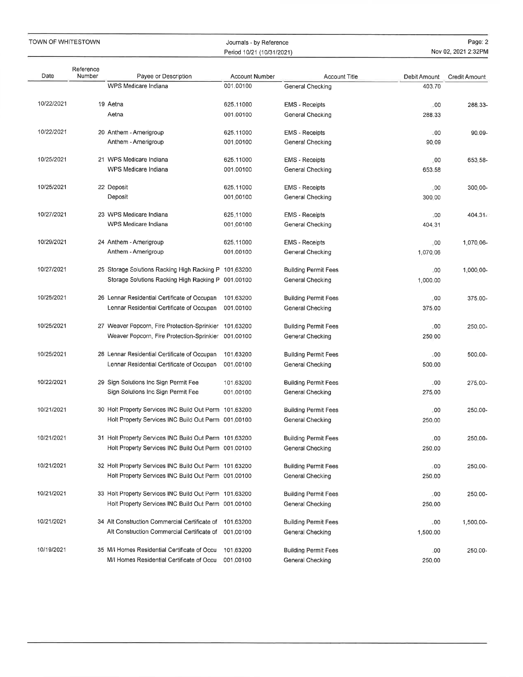#### Journals - by ReferencePeriod 10/21 (10/31/2021)

| Date       | Reference<br>Number | Payee or Description                                                                      | <b>Account Number</b>  | <b>Account Title</b>                            | Debit Amount  | Credit Amount |
|------------|---------------------|-------------------------------------------------------------------------------------------|------------------------|-------------------------------------------------|---------------|---------------|
|            |                     | WPS Medicare Indiana                                                                      | 001.00100              | General Checking                                | 403.70        |               |
|            |                     |                                                                                           |                        |                                                 |               |               |
| 10/22/2021 |                     | 19 Aetna                                                                                  | 625.11000              | <b>EMS - Receipts</b>                           | .00           | 288.33-       |
|            |                     | Aetna                                                                                     | 001.00100              | General Checking                                | 288,33        |               |
| 10/22/2021 |                     | 20 Anthem - Amerigroup                                                                    | 625,11000              | <b>EMS</b> - Receipts                           | .00           | 90.09-        |
|            |                     | Anthem - Amerigroup                                                                       | 001.00100              | General Checking                                | 90.09         |               |
|            |                     |                                                                                           |                        |                                                 |               |               |
| 10/25/2021 |                     | 21 WPS Medicare Indiana                                                                   | 625.11000              | <b>EMS</b> - Receipts                           | .00           | 653.58-       |
|            |                     | WPS Medicare Indiana                                                                      | 001.00100              | General Checking                                | 653.58        |               |
| 10/25/2021 |                     | 22 Deposit                                                                                | 625,11000              | <b>EMS</b> - Receipts                           | .00           | 300.00-       |
|            |                     | Deposit                                                                                   | 001.00100              | General Checking                                | 300.00        |               |
|            |                     |                                                                                           |                        |                                                 |               |               |
| 10/27/2021 |                     | 23 WPS Medicare Indiana                                                                   | 625.11000              | <b>EMS</b> - Receipts                           | ,00           | $404.31-$     |
|            |                     | WPS Medicare Indiana                                                                      | 001.00100              | General Checking                                | 404.31        |               |
| 10/29/2021 |                     | 24 Anthem - Amerigroup                                                                    | 625,11000              | <b>EMS</b> - Receipts                           | .00           | 1,070.06-     |
|            |                     | Anthem - Amerigroup                                                                       | 001.00100              | General Checking                                | 1.070.06      |               |
|            |                     |                                                                                           |                        |                                                 |               |               |
| 10/27/2021 |                     | 25 Storage Solutions Racking High Racking P 101,63200                                     |                        | <b>Building Permit Fees</b>                     | .00           | 1.000.00-     |
|            |                     | Storage Solutions Racking High Racking P 001.00100                                        |                        | General Checking                                | 1,000.00      |               |
| 10/25/2021 |                     |                                                                                           |                        |                                                 |               |               |
|            |                     | 26 Lennar Residential Certificate of Occupan<br>Lennar Residential Certificate of Occupan | 101.63200<br>001.00100 | <b>Building Permit Fees</b><br>General Checking | .00<br>375.00 | 375.00-       |
|            |                     |                                                                                           |                        |                                                 |               |               |
| 10/25/2021 |                     | 27 Weaver Popcorn, Fire Protection-Sprinkler                                              | 101.63200              | <b>Building Permit Fees</b>                     | .00           | 250.00-       |
|            |                     | Weaver Popcorn, Fire Protection-Sprinkler                                                 | 001.00100              | General Checking                                | 250.00        |               |
|            |                     |                                                                                           |                        |                                                 |               |               |
| 10/25/2021 |                     | 28 Lennar Residential Certificate of Occupan                                              | 101.63200              | <b>Building Permit Fees</b>                     | .00           | 500,00-       |
|            |                     | Lennar Residential Certificate of Occupan                                                 | 001.00100              | General Checking                                | 500.00        |               |
| 10/22/2021 |                     | 29 Sign Solutions Inc Sign Permit Fee                                                     | 101.63200              | <b>Building Permit Fees</b>                     | .00           | 275.00-       |
|            |                     | Sign Solutions Inc Sign Permit Fee                                                        | 001.00100              | General Checking                                | 275.00        |               |
|            |                     |                                                                                           |                        |                                                 |               |               |
| 10/21/2021 |                     | 30 Holt Property Services INC Build Out Perm 101.63200                                    |                        | <b>Building Permit Fees</b>                     | .00           | 250.00-       |
|            |                     | Holt Property Services INC Build Out Perm 001.00100                                       |                        | General Checking                                | 250.00        |               |
| 10/21/2021 |                     | 31 Holt Property Services INC Build Out Perm 101.63200                                    |                        | <b>Building Permit Fees</b>                     | .00           | 250.00-       |
|            |                     | Holt Property Services INC Build Out Perm 001.00100                                       |                        | General Checking                                | 250.00        |               |
|            |                     |                                                                                           |                        |                                                 |               |               |
| 10/21/2021 |                     | 32 Holt Property Services INC Build Out Perm 101.63200                                    |                        | <b>Building Permit Fees</b>                     | .00           | 250,00-       |
|            |                     | Holt Property Services INC Build Out Perm 001,00100                                       |                        | General Checking                                | 250.00        |               |
|            |                     |                                                                                           |                        |                                                 |               |               |
| 10/21/2021 |                     | 33 Holt Property Services INC Build Out Perm 101.63200                                    |                        | <b>Building Permit Fees</b>                     | .00           | 250.00-       |
|            |                     | Holt Property Services INC Build Out Perm 001.00100                                       |                        | General Checking                                | 250.00        |               |
| 10/21/2021 |                     | 34 Alt Construction Commercial Certificate of                                             | 101.63200              | <b>Building Permit Fees</b>                     | .00           | 1,500.00-     |
|            |                     | Alt Construction Commercial Certificate of                                                | 001.00100              | General Checking                                | 1,500.00      |               |
|            |                     |                                                                                           |                        |                                                 |               |               |
| 10/19/2021 |                     | 35 M/I Homes Residential Certificate of Occu                                              | 101.63200              | <b>Building Permit Fees</b>                     | .00           | 250.00-       |
|            |                     | M/I Homes Residential Certificate of Occu                                                 | 001.00100              | General Checking                                | 250.00        |               |